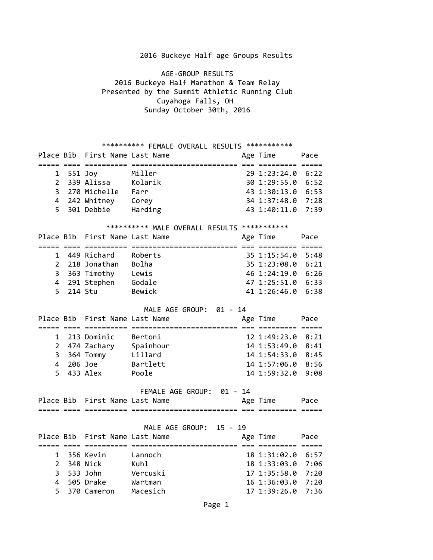## 2016 Buckeye Half age Groups Results

 AGE-GROUP RESULTS 2016 Buckeye Half Marathon & Team Relay Presented by the Summit Athletic Running Club Cuyahoga Falls, OH Sunday October 30th, 2016

| ********** FEMALE OVERALL RESULTS ************ |         |                                |                                              |  |                   |      |
|------------------------------------------------|---------|--------------------------------|----------------------------------------------|--|-------------------|------|
|                                                |         | Place Bib First Name Last Name |                                              |  | Age Time          | Pace |
|                                                |         |                                |                                              |  |                   |      |
| 1                                              | 551 Joy |                                | Miller                                       |  | 29 1:23:24.0 6:22 |      |
| $\overline{2}$                                 |         | 339 Alissa                     | Kolarik                                      |  | 30 1:29:55.0 6:52 |      |
| 3                                              |         | 270 Michelle                   | Farr                                         |  | 43 1:30:13.0 6:53 |      |
| $\overline{4}$                                 |         | 242 Whitney                    | Corey                                        |  | 34 1:37:48.0 7:28 |      |
| 5                                              |         | 301 Debbie                     | Harding                                      |  | 43 1:40:11.0      | 7:39 |
|                                                |         |                                | ********** MALE OVERALL RESULTS ************ |  |                   |      |
|                                                |         | Place Bib First Name Last Name |                                              |  | Age Time          | Pace |
|                                                |         |                                |                                              |  |                   |      |
| 1                                              |         | 449 Richard                    | Roberts                                      |  | 35 1:15:54.0      | 5:48 |
| $\overline{2}$                                 |         | 218 Jonathan                   | Bolha                                        |  | 35 1:23:08.0      | 6:21 |
|                                                |         | 3 363 Timothy                  | Lewis                                        |  | 46 1:24:19.0      | 6:26 |
| $\overline{4}$                                 |         | 291 Stephen                    | Godale                                       |  | 47 1:25:51.0 6:33 |      |
| 5                                              |         | 214 Stu                        | Bewick                                       |  | 41 1:26:46.0 6:38 |      |
|                                                |         |                                |                                              |  |                   |      |
|                                                |         |                                | MALE AGE GROUP: 01 - 14                      |  |                   |      |
|                                                |         | Place Bib First Name Last Name |                                              |  | Age Time          | Pace |
|                                                |         |                                |                                              |  |                   |      |
| 1                                              |         | 213 Dominic                    | Bertoni                                      |  | 12 1:49:23.0      | 8:21 |
| $\overline{2}$                                 |         | 474 Zachary Spainhour          |                                              |  | 14 1:53:49.0      | 8:41 |
| 3                                              |         | 364 Tommy                      | Lillard                                      |  | 14 1:54:33.0      | 8:45 |
| 4                                              |         | 206 Joe                        | Bartlett                                     |  | 14 1:57:06.0 8:56 |      |
| 5                                              |         | 433 Alex                       | Poole                                        |  | 14 1:59:32.0      | 9:08 |
|                                                |         |                                |                                              |  |                   |      |
|                                                |         |                                | FEMALE AGE GROUP: 01 - 14                    |  |                   |      |
|                                                |         | Place Bib First Name Last Name |                                              |  | Age Time Pace     |      |
|                                                |         |                                |                                              |  |                   |      |
|                                                |         |                                |                                              |  |                   |      |
|                                                |         |                                | MALE AGE GROUP: 15 - 19                      |  |                   |      |
|                                                |         | Place Bib First Name Last Name |                                              |  | Age Time          | Pace |
|                                                |         |                                |                                              |  |                   |      |
| $\mathbf 1$                                    |         | 356 Kevin                      | Lannoch                                      |  | 18 1:31:02.0 6:57 |      |
| $\overline{2}$                                 |         | 348 Nick                       | Kuhl                                         |  | 18 1:33:03.0      | 7:06 |
| 3                                              |         | 533 John                       | Vercuski                                     |  | 17 1:35:58.0      | 7:20 |
| 4                                              |         | 505 Drake                      | Wartman                                      |  | 16 1:36:03.0      | 7:20 |
| 5                                              |         | 370 Cameron                    | Macesich                                     |  | 17 1:39:26.0      | 7:36 |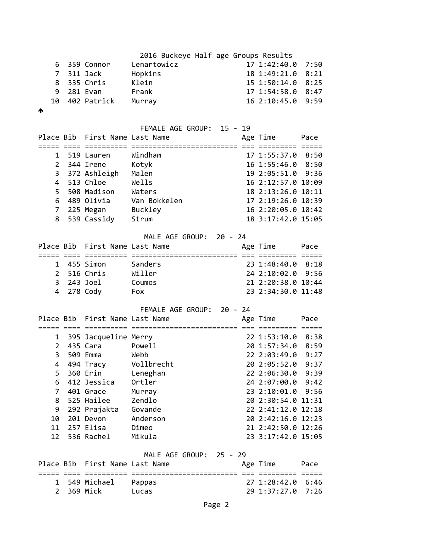|   |                | 2016 Buckeye Half age Groups Results |                   |  |
|---|----------------|--------------------------------------|-------------------|--|
|   | 6 359 Connor   | Lenartowicz                          | 17 1:42:40.0 7:50 |  |
|   | 7 311 Jack     | Hopkins                              | 18 1:49:21.0 8:21 |  |
|   | 8 335 Chris    | Klein                                | 15 1:50:14.0 8:25 |  |
|   | 9 281 Evan     | Frank                                | 17 1:54:58.0 8:47 |  |
|   | 10 402 Patrick | Murray                               | 16 2:10:45.0 9:59 |  |
| ∧ |                |                                      |                   |  |

| FEMALE AGE GROUP: 15 - 19 |
|---------------------------|
|                           |

|                | Place Bib First Name Last Name |                           | Age Time           | Pace |
|----------------|--------------------------------|---------------------------|--------------------|------|
|                |                                |                           | :====== =====      |      |
| 1              | 519 Lauren                     | Windham                   | 17 1:55:37.0 8:50  |      |
| $\overline{2}$ | 344 Irene                      | Kotyk                     | 16 1:55:46.0 8:50  |      |
| 3              | 372 Ashleigh                   | Malen                     | 19 2:05:51.0       | 9:36 |
| 4              | 513 Chloe                      | Wells                     | 16 2:12:57.0 10:09 |      |
| 5              | 508 Madison                    | Waters                    | 18 2:13:26.0 10:11 |      |
| 6              | 489 Olivia                     | Van Bokkelen              | 17 2:19:26.0 10:39 |      |
| $\overline{7}$ | 225 Megan                      | Buckley                   | 16 2:20:05.0 10:42 |      |
| 8              | 539 Cassidy                    | Strum                     | 18 3:17:42.0 15:05 |      |
|                |                                | MALE AGE GROUP: 20 - 24   |                    |      |
| Place Bib      | First Name Last Name           |                           | Age Time           | Pace |
|                |                                |                           |                    |      |
| 1              | 455 Simon                      | Sanders                   | 23 1:48:40.0       | 8:18 |
| 2              | 516 Chris                      | Willer                    | 24 2:10:02.0       | 9:56 |
| 3              | 243 Joel                       | Coumos                    | 21 2:20:38.0 10:44 |      |
| 4              | 278 Cody                       | Fox                       | 23 2:34:30.0 11:48 |      |
|                |                                | FEMALE AGE GROUP: 20 - 24 |                    |      |
|                |                                |                           |                    |      |
|                | Place Bib First Name Last Name |                           | Age Time           | Pace |
|                |                                |                           |                    |      |
| 1              | 395 Jacqueline Merry           |                           | 22 1:53:10.0       | 8:38 |
| $\overline{2}$ | 435 Cara                       | Powell                    | 20 1:57:34.0       | 8:59 |
| 3              | 509 Emma                       | Webb                      | 22 2:03:49.0 9:27  |      |
| 4              | 494 Tracy                      | Vollbrecht                | 20 2:05:52.0 9:37  |      |
| 5              | 360 Erin                       | Leneghan                  | 22 2:06:30.0 9:39  |      |
| 6              | 412 Jessica                    | Ortler                    | 24 2:07:00.0       | 9:42 |
| $\overline{7}$ | 401 Grace                      | Murray                    | 23 2:10:01.0       | 9:56 |
| 8              | 525 Hailee                     | Zendlo                    | 20 2:30:54.0 11:31 |      |
| 9              | 292 Prajakta                   | Govande                   | 22 2:41:12.0 12:18 |      |
| 10             | 201 Devon                      | Anderson                  | 20 2:42:16.0 12:23 |      |
| 11             | 257 Elisa                      | Dimeo                     | 21 2:42:50.0 12:26 |      |
| 12             | 536 Rachel                     | Mikula                    | 23 3:17:42.0 15:05 |      |
|                |                                | MALE AGE GROUP: 25 - 29   |                    |      |
|                | Place Bib First Name Last Name |                           | Age Time           | Pace |
|                |                                |                           |                    |      |
| 1              | 549 Michael                    | Pappas                    | 27 1:28:42.0       | 6:46 |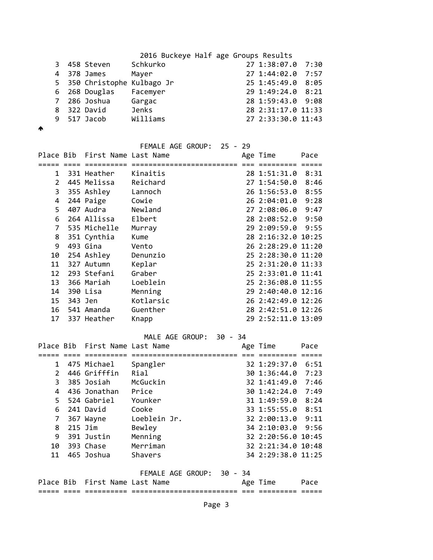|  |                             | 2016 Buckeye Half age Groups Results |                    |      |
|--|-----------------------------|--------------------------------------|--------------------|------|
|  | 3 458 Steven                | Schkurko                             | 27 1:38:07.0 7:30  |      |
|  | 4 378 James                 | Mayer                                | 27 1:44:02.0       | 7:57 |
|  | 5 350 Christophe Kulbago Jr |                                      | 25 1:45:49.0 8:05  |      |
|  | 6 268 Douglas               | Facemyer                             | 29 1:49:24.0 8:21  |      |
|  | 7 286 Joshua                | Gargac                               | 28 1:59:43.0 9:08  |      |
|  | 8 322 David                 | Jenks                                | 28 2:31:17.0 11:33 |      |
|  | 9 517 Jacob                 | Williams                             | 27 2:33:30.0 11:43 |      |
|  |                             |                                      |                    |      |

 $\spadesuit$ 

|                |                                | FEMALE AGE GROUP: | 25 - 29 |                    |      |
|----------------|--------------------------------|-------------------|---------|--------------------|------|
|                | Place Bib First Name Last Name |                   |         | Age Time           | Pace |
|                | ====                           |                   |         |                    |      |
| $\mathbf{1}$   | 331 Heather                    | Kinaitis          |         | 28 1:51:31.0 8:31  |      |
| $\overline{2}$ | 445 Melissa                    | Reichard          |         | 27 1:54:50.0 8:46  |      |
| 3              | 355 Ashley                     | Lannoch           |         | 26 1:56:53.0       | 8:55 |
| 4              | 244 Paige                      | Cowie             |         | 26 2:04:01.0       | 9:28 |
| 5.             | 407 Audra                      | Newland           |         | 27 2:08:06.0 9:47  |      |
| 6              | 264 Allissa                    | Elbert            |         | 28 2:08:52.0 9:50  |      |
| 7              | 535 Michelle                   | Murray            |         | 29 2:09:59.0 9:55  |      |
| 8              | 351 Cynthia                    | Kume              |         | 28 2:16:32.0 10:25 |      |
| 9              | 493 Gina                       | Vento             |         | 26 2:28:29.0 11:20 |      |
| 10             | 254 Ashley                     | Denunzio          |         | 25 2:28:30.0 11:20 |      |
| 11             | 327 Autumn                     | Keplar            |         | 25 2:31:20.0 11:33 |      |
| 12             | 293 Stefani                    | Graber            |         | 25 2:33:01.0 11:41 |      |
| 13             | 366 Mariah                     | Loeblein          |         | 25 2:36:08.0 11:55 |      |
| 14             | 390 Lisa                       | Menning           |         | 29 2:40:40.0 12:16 |      |
| 15             | 343 Jen                        | Kotlarsic         |         | 26 2:42:49.0 12:26 |      |
| 16             | 541 Amanda                     | Guenther          |         | 28 2:42:51.0 12:26 |      |
| 17             | 337 Heather                    | Knapp             |         | 29 2:52:11.0 13:09 |      |
|                |                                |                   |         |                    |      |

MALE AGE GROUP: 30 - 34

|               |         | Place Bib First Name Last Name |                           | Age Time           | Pace |
|---------------|---------|--------------------------------|---------------------------|--------------------|------|
|               |         |                                |                           |                    |      |
| $\mathbf 1$   |         | 475 Michael                    | Spangler                  | 32 1:29:37.0       | 6:51 |
| $\mathcal{P}$ |         | 446 Grifffin                   | Rial                      | 30 1:36:44.0 7:23  |      |
| 3.            |         | 385 Josiah                     | McGuckin                  | 32 1:41:49.0 7:46  |      |
| 4             |         | 436 Jonathan                   | Price                     | 30 1:42:24.0       | 7:49 |
| 5.            |         | 524 Gabriel                    | Younker                   | 31 1:49:59.0 8:24  |      |
| 6.            |         | 241 David                      | Cooke                     | 33 1:55:55.0 8:51  |      |
| 7             |         | 367 Wayne                      | Loeblein Jr.              | 32 2:00:13.0 9:11  |      |
| 8             | 215 Jim |                                | Bewley                    | 34 2:10:03.0 9:56  |      |
| 9             |         | 391 Justin                     | Menning                   | 32 2:20:56.0 10:45 |      |
| 10            |         | 393 Chase                      | Merriman                  | 32 2:21:34.0 10:48 |      |
| 11            |         | 465 Joshua                     | Shavers                   | 34 2:29:38.0 11:25 |      |
|               |         |                                |                           |                    |      |
|               |         |                                | FEMALE AGE GROUP: 30 - 34 |                    |      |
|               |         | Place Bib First Name Last Name |                           | Age Time           | Pace |
|               |         |                                |                           |                    |      |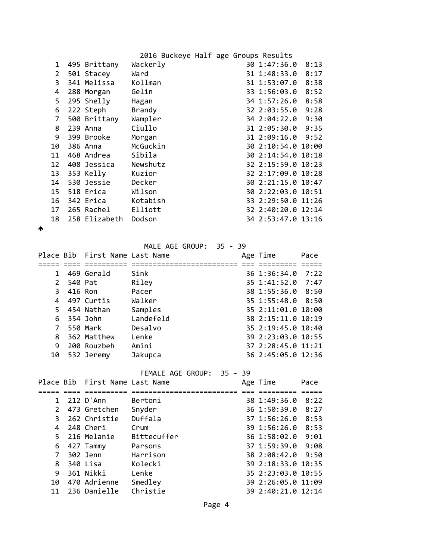| 495 Brittany  | Wackerly | 30 1:47:36.0<br>8:13 |                                      |
|---------------|----------|----------------------|--------------------------------------|
| 501 Stacey    | Ward     | 31 1:48:33.0<br>8:17 |                                      |
| 341 Melissa   | Kollman  | 31 1:53:07.0<br>8:38 |                                      |
| 288 Morgan    | Gelin    | 33 1:56:03.0<br>8:52 |                                      |
| 295 Shelly    | Hagan    | 34 1:57:26.0<br>8:58 |                                      |
| 222 Steph     | Brandy   | 32 2:03:55.0<br>9:28 |                                      |
| 500 Brittany  | Wampler  | 34 2:04:22.0<br>9:30 |                                      |
| 239 Anna      | Ciullo   | 31 2:05:30.0 9:35    |                                      |
| 399 Brooke    | Morgan   | 31 2:09:16.0 9:52    |                                      |
| 386 Anna      | McGuckin | 30 2:10:54.0 10:00   |                                      |
| 468 Andrea    | Sibila   | 30 2:14:54.0 10:18   |                                      |
|               | Newshutz | 32 2:15:59.0 10:23   |                                      |
| 353 Kelly     | Kuzior   | 32 2:17:09.0 10:28   |                                      |
| 530 Jessie    | Decker   | 30 2:21:15.0 10:47   |                                      |
| 518 Erica     | Wilson   | 30 2:22:03.0 10:51   |                                      |
| 342 Erica     | Kotabish | 33 2:29:50.0 11:26   |                                      |
| 265 Rachel    | Elliott  | 32 2:40:20.0 12:14   |                                      |
| 258 Elizabeth | Dodson   | 34 2:53:47.0 13:16   |                                      |
|               |          | 408 Jessica          | 2016 Buckeye Half age Groups Results |

 $\blacktriangle$ 

MALE AGE GROUP: 35 - 39

|              |            | Place Bib First Name Last Name |           | Age Time           | Pace |
|--------------|------------|--------------------------------|-----------|--------------------|------|
|              |            |                                |           |                    |      |
| $\mathbf{1}$ |            | 469 Gerald                     | Sink      | 36 1:36:34.0       | 7:22 |
|              | 2 540 Pat  |                                | Riley     | 35 1:41:52.0 7:47  |      |
| 3            | 416 Ron    |                                | Pacer     | 38 1:55:36.0 8:50  |      |
|              |            | 4 497 Curtis                   | Walker    | 35 1:55:48.0 8:50  |      |
| 5.           |            | 454 Nathan                     | Samples   | 35 2:11:01.0 10:00 |      |
|              | 6 354 John |                                | Landefeld | 38 2:15:11.0 10:19 |      |
| 7            |            | 550 Mark                       | Desalvo   | 35 2:19:45.0 10:40 |      |
| 8            |            | 362 Matthew                    | Lenke     | 39 2:23:03.0 10:55 |      |
| 9            |            | 200 Rouzbeh                    | Amini     | 37 2:28:45.0 11:21 |      |
| 10           |            | 532 Jeremy                     | Jakupca   | 36 2:45:05.0 12:36 |      |

FEMALE AGE GROUP: 35 - 39

|             |            | Place Bib First Name Last Name |             | Age Time           | Pace |
|-------------|------------|--------------------------------|-------------|--------------------|------|
|             |            |                                |             |                    |      |
|             |            | 1 212 D'Ann                    | Bertoni     | 38 1:49:36.0       | 8:22 |
|             |            | 2 473 Gretchen                 | Snyder      | 36 1:50:39.0       | 8:27 |
| 3           |            | 262 Christie                   | Duffala     | 37 1:56:26.0       | 8:53 |
|             |            | 4 248 Cheri                    | Crum        | 39 1:56:26.0       | 8:53 |
|             |            | 5 216 Melanie                  | Bittecuffer | 36 1:58:02.0       | 9:01 |
| 6           |            | 427 Tammy                      | Parsons     | 37 1:59:39.0 9:08  |      |
| $7^{\circ}$ |            | 302 Jenn                       | Harrison    | 38 2:08:42.0 9:50  |      |
|             | 8 340 Lisa |                                | Kolecki     | 39 2:18:33.0 10:35 |      |
| 9           |            | 361 Nikki                      | Lenke       | 35 2:23:03.0 10:55 |      |
| 10          |            | 470 Adrienne                   | Smedley     | 39 2:26:05.0 11:09 |      |
| 11          |            | 236 Danielle                   | Christie    | 39 2:40:21.0 12:14 |      |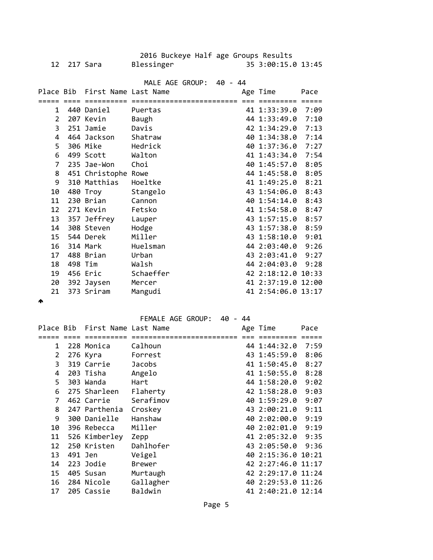| 12 <sup>7</sup> | 217 Sara                       | 2016 Buckeye Half age Groups Results<br>Blessinger |         | 35 3:00:15.0 13:45 |       |
|-----------------|--------------------------------|----------------------------------------------------|---------|--------------------|-------|
|                 |                                | MALE AGE GROUP:                                    | 40 - 44 |                    |       |
|                 | Place Bib First Name Last Name |                                                    |         | Age Time           | Pace  |
|                 | ========                       | ==========================                         |         | =========          | ===== |
| $\mathbf{1}$    | 440 Daniel                     | Puertas                                            |         | 41 1:33:39.0       | 7:09  |
| $\overline{2}$  | 207 Kevin                      | <b>Baugh</b>                                       |         | 44 1:33:49.0       | 7:10  |
| 3               | 251 Jamie                      | Davis                                              |         | 42 1:34:29.0       | 7:13  |
| 4               | 464 Jackson                    | Shatraw                                            |         | 40 1:34:38.0       | 7:14  |
| 5               | 306 Mike                       | Hedrick                                            |         | 40 1:37:36.0       | 7:27  |
| 6               | 499 Scott                      | Walton                                             |         | 41 1:43:34.0       | 7:54  |
| $\overline{7}$  | 235 Jae-Won                    | Choi                                               |         | 40 1:45:57.0       | 8:05  |
| 8               | 451 Christophe Rowe            |                                                    |         | 44 1:45:58.0       | 8:05  |
| 9               | 310 Matthias                   | Hoeltke                                            |         | 41 1:49:25.0       | 8:21  |
| 10              | 480 Troy                       | Stangelo                                           |         | 43 1:54:06.0       | 8:43  |
| 11              | 230 Brian                      | Cannon                                             |         | 40 1:54:14.0       | 8:43  |
| 12              | 271 Kevin                      | Fetsko                                             |         | 41 1:54:58.0       | 8:47  |
| 13              | 357 Jeffrey                    | Lauper                                             |         | 43 1:57:15.0       | 8:57  |
| 14              | 308 Steven                     | Hodge                                              |         | 43 1:57:38.0       | 8:59  |
| 15              | 544 Derek                      | Miller                                             |         | 43 1:58:10.0       | 9:01  |
| 16              | 314 Mark                       | Huelsman                                           |         | 44 2:03:40.0       | 9:26  |
| 17              | 488 Brian                      | Urban                                              |         | 43 2:03:41.0 9:27  |       |
| 18              | 498 Tim                        | Walsh                                              |         | 44 2:04:03.0       | 9:28  |
| 19              | 456 Eric                       | Schaeffer                                          |         | 42 2:18:12.0 10:33 |       |
| 20              | 392 Jaysen                     | Mercer                                             |         | 41 2:37:19.0 12:00 |       |
| 21              | 373 Sriram                     | Mangudi                                            |         | 41 2:54:06.0 13:17 |       |

 $\blacktriangle$ 

FEMALE AGE GROUP: 40 - 44

|                | Place Bib First Name Last Name |               | Age Time           | Pace |
|----------------|--------------------------------|---------------|--------------------|------|
|                |                                |               |                    |      |
| 1              | 228 Monica                     | Calhoun       | 44 1:44:32.0 7:59  |      |
| $\overline{2}$ | 276 Kyra                       | Forrest       | 43 1:45:59.0       | 8:06 |
| 3              | 319 Carrie                     | Jacobs        | 41 1:50:45.0       | 8:27 |
| 4              | 203 Tisha                      | Angelo        | 41 1:50:55.0       | 8:28 |
| 5.             | 303 Wanda                      | Hart          | 44 1:58:20.0       | 9:02 |
| 6              | 275 Sharleen                   | Flaherty      | 42 1:58:28.0       | 9:03 |
| 7              | 462 Carrie                     | Serafimov     | 40 1:59:29.0       | 9:07 |
| 8              | 247 Parthenia                  | Croskey       | 43 2:00:21.0       | 9:11 |
| 9              | 300 Danielle                   | Hanshaw       | 40 2:02:00.0       | 9:19 |
| 10             | 396 Rebecca                    | Miller        | 40 2:02:01.0       | 9:19 |
| 11             | 526 Kimberley                  | Zepp          | 41 2:05:32.0 9:35  |      |
| 12             | 250 Kristen                    | Dahlhofer     | 43 2:05:50.0 9:36  |      |
| 13             | 491 Jen                        | Veigel        | 40 2:15:36.0 10:21 |      |
| 14             | 223 Jodie                      | <b>Brewer</b> | 42 2:27:46.0 11:17 |      |
| 15             | 405 Susan                      | Murtaugh      | 42 2:29:17.0 11:24 |      |
| 16             | 284 Nicole                     | Gallagher     | 40 2:29:53.0 11:26 |      |
| 17             | 205 Cassie                     | Baldwin       | 41 2:40:21.0 12:14 |      |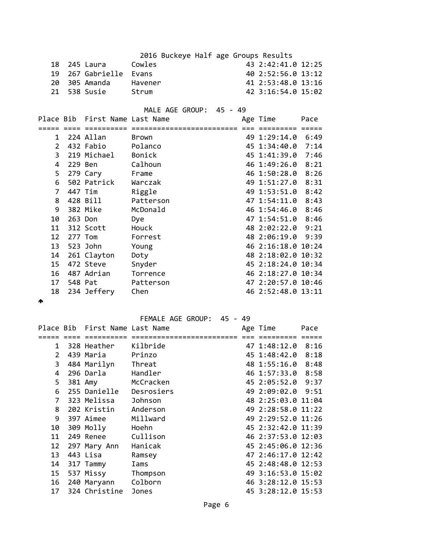| 2016 Buckeye Half age Groups Results |  |                                |                                                                    |  |                    |      |  |
|--------------------------------------|--|--------------------------------|--------------------------------------------------------------------|--|--------------------|------|--|
| 18                                   |  | 245 Laura                      | Cowles                                                             |  | 43 2:42:41.0 12:25 |      |  |
| 19                                   |  | 267 Gabrielle                  | Evans                                                              |  | 40 2:52:56.0 13:12 |      |  |
| 20                                   |  | 305 Amanda                     | Havener                                                            |  | 41 2:53:48.0 13:16 |      |  |
| 21                                   |  | 538 Susie                      | Strum                                                              |  | 42 3:16:54.0 15:02 |      |  |
|                                      |  |                                |                                                                    |  |                    |      |  |
|                                      |  |                                | MALE AGE GROUP: 45 - 49                                            |  |                    |      |  |
|                                      |  | Place Bib First Name Last Name |                                                                    |  | Age Time           | Pace |  |
|                                      |  |                                | <u>soos oos oostalise oostiliseliniseliniselin oo oostilis oos</u> |  |                    |      |  |
|                                      |  | 1 224 Allan                    | Brown                                                              |  | 49 1:29:14.0 6:49  |      |  |
| $\overline{2}$                       |  | 432 Fabio                      | Polanco                                                            |  | 45 1:34:40.0 7:14  |      |  |
|                                      |  | 219 Michael Bonick             |                                                                    |  |                    |      |  |
| 3                                    |  |                                |                                                                    |  | 45 1:41:39.0       | 7:46 |  |
| 4                                    |  | 229 Ben                        | Calhoun                                                            |  | 46 1:49:26.0       | 8:21 |  |
| 5                                    |  | 279 Cary                       | Frame                                                              |  | 46 1:50:28.0       | 8:26 |  |
| 6                                    |  | 502 Patrick                    | Warczak                                                            |  | 49 1:51:27.0       | 8:31 |  |
| $\overline{7}$                       |  | 447 Tim                        | Riggle                                                             |  | 49 1:53:51.0       | 8:42 |  |
| 8                                    |  | 428 Bill                       | Patterson                                                          |  | 47 1:54:11.0 8:43  |      |  |
| 9                                    |  | 382 Mike                       | McDonald                                                           |  | 46 1:54:46.0 8:46  |      |  |
| 10                                   |  | 263 Don                        | Dye                                                                |  | 47 1:54:51.0 8:46  |      |  |
| 11                                   |  | 312 Scott                      | Houck                                                              |  | 48 2:02:22.0 9:21  |      |  |
| 12                                   |  | 277 Tom                        | Forrest                                                            |  | 48 2:06:19.0       | 9:39 |  |
| 13                                   |  | 523 John                       | Young                                                              |  | 46 2:16:18.0 10:24 |      |  |
| 14                                   |  | 261 Clayton                    | Doty                                                               |  | 48 2:18:02.0 10:32 |      |  |
| 15                                   |  | 472 Steve                      | Snyder                                                             |  | 45 2:18:24.0 10:34 |      |  |
| 16                                   |  | 487 Adrian                     | Torrence                                                           |  | 46 2:18:27.0 10:34 |      |  |
|                                      |  | 548 Pat                        |                                                                    |  |                    |      |  |
| 17                                   |  |                                | Patterson                                                          |  | 47 2:20:57.0 10:46 |      |  |
| 18                                   |  | 234 Jeffery                    | Chen                                                               |  | 46 2:52:48.0 13:11 |      |  |
| ́Ѧ                                   |  |                                |                                                                    |  |                    |      |  |
|                                      |  |                                |                                                                    |  |                    |      |  |
|                                      |  |                                | FEMALE AGE GROUP: 45 - 49                                          |  |                    |      |  |
|                                      |  | Place Bib First Name Last Name |                                                                    |  | Age Time           | Pace |  |
|                                      |  |                                |                                                                    |  |                    |      |  |
| 1                                    |  | 328 Heather Kilbride           |                                                                    |  | 47 1:48:12.0 8:16  |      |  |
| $\overline{2}$                       |  | 439 Maria                      | Prinzo                                                             |  | 45 1:48:42.0 8:18  |      |  |
| 3                                    |  | 484 Marilyn                    | Threat                                                             |  | 48 1:55:16.0       | 8:48 |  |
| 4                                    |  | 296 Darla                      | Handler                                                            |  | 46 1:57:33.0       | 8:58 |  |
| 5                                    |  | 381 Amy                        | McCracken                                                          |  | 45 2:05:52.0       | 9:37 |  |
| 6                                    |  | 255 Danielle                   | Desrosiers                                                         |  | 49 2:09:02.0       | 9:51 |  |
| 7                                    |  | 323 Melissa                    | Johnson                                                            |  | 48 2:25:03.0 11:04 |      |  |
| 8                                    |  | 202 Kristin                    | Anderson                                                           |  | 49 2:28:58.0 11:22 |      |  |
| 9                                    |  | 397 Aimee                      | Millward                                                           |  | 49 2:29:52.0 11:26 |      |  |
|                                      |  |                                |                                                                    |  |                    |      |  |
| 10                                   |  | 309 Molly                      | Hoehn                                                              |  | 45 2:32:42.0 11:39 |      |  |
| 11                                   |  | 249 Renee                      | Cullison                                                           |  | 46 2:37:53.0 12:03 |      |  |
| 12                                   |  | 297 Mary Ann                   | Hanicak                                                            |  | 45 2:45:06.0 12:36 |      |  |
| 13                                   |  | 443 Lisa                       | Ramsey                                                             |  | 47 2:46:17.0 12:42 |      |  |
| 14                                   |  | 317 Tammy                      | Iams                                                               |  | 45 2:48:48.0 12:53 |      |  |
| 15                                   |  | 537 Missy                      | Thompson                                                           |  | 49 3:16:53.0 15:02 |      |  |
| 16                                   |  | 240 Maryann                    | Colborn                                                            |  | 46 3:28:12.0 15:53 |      |  |

17 324 Christine Jones 45 3:28:12.0 15:53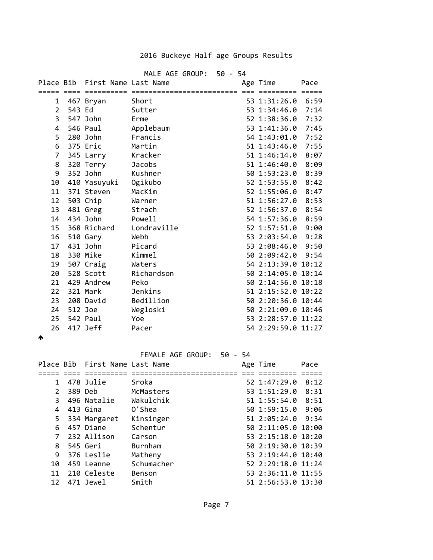## 2016 Buckeye Half age Groups Results

|           |         |                      | MALE AGE GROUP: 50 - 54 |  |                    |      |
|-----------|---------|----------------------|-------------------------|--|--------------------|------|
| Place Bib |         | First Name Last Name |                         |  | Age Time           | Pace |
|           |         |                      |                         |  |                    |      |
| 1         |         | 467 Bryan            | Short                   |  | 53 1:31:26.0 6:59  |      |
| 2         | 543 Ed  |                      | Sutter                  |  | 53 1:34:46.0       | 7:14 |
| 3         |         | 547 John             | Erme                    |  | 52 1:38:36.0       | 7:32 |
| 4         |         | 546 Paul             | Applebaum               |  | 53 1:41:36.0       | 7:45 |
| 5         |         | 280 John             | Francis                 |  | 54 1:43:01.0 7:52  |      |
| 6         |         | 375 Eric             | Martin                  |  | 51 1:43:46.0       | 7:55 |
| 7         |         | 345 Larry            | Kracker                 |  | 51 1:46:14.0       | 8:07 |
| 8         |         | 320 Terry            | <b>Jacobs</b>           |  | 51 1:46:40.0       | 8:09 |
| 9         |         | 352 John             | Kushner                 |  | 50 1:53:23.0       | 8:39 |
| 10        |         | 410 Yasuyuki         | Ogikubo                 |  | 52 1:53:55.0       | 8:42 |
| 11        |         | 371 Steven           | MacKim                  |  | 52 1:55:06.0       | 8:47 |
| 12        |         | 503 Chip             | Warner                  |  | 51 1:56:27.0 8:53  |      |
| 13        |         | 481 Greg             | Strach                  |  | 52 1:56:37.0       | 8:54 |
| 14        |         | 434 John             | Powell                  |  | 54 1:57:36.0       | 8:59 |
| 15        |         | 368 Richard          | Londraville             |  | 52 1:57:51.0       | 9:00 |
| 16        |         | 510 Gary             | Webb                    |  | 53 2:03:54.0 9:28  |      |
| 17        |         | 431 John             | Picard                  |  | 53 2:08:46.0       | 9:50 |
| 18        |         | 330 Mike             | <b>Kimmel</b>           |  | 50 2:09:42.0       | 9:54 |
| 19        |         | 507 Craig            | Waters                  |  | 54 2:13:39.0 10:12 |      |
| 20        |         | 528 Scott            | Richardson              |  | 50 2:14:05.0 10:14 |      |
| 21        |         | 429 Andrew           | Peko                    |  | 50 2:14:56.0 10:18 |      |
| 22        |         | 321 Mark             | Jenkins                 |  | 51 2:15:52.0 10:22 |      |
| 23        |         | 208 David            | Bedillion               |  | 50 2:20:36.0 10:44 |      |
| 24        | 512 Joe |                      | Wegloski                |  | 50 2:21:09.0 10:46 |      |
| 25        |         | 542 Paul             | Yoe                     |  | 53 2:28:57.0 11:22 |      |
| 26        |         | 417 Jeff             | Pacer                   |  | 54 2:29:59.0 11:27 |      |

## $\blacktriangle$

FEMALE AGE GROUP: 50 - 54

|                | Place Bib First Name Last Name |            | Age Time           | Pace |
|----------------|--------------------------------|------------|--------------------|------|
|                |                                |            |                    |      |
| 1              | 478 Julie                      | Sroka      | 52 1:47:29.0       | 8:12 |
| $\mathcal{P}$  | 389 Deb                        | McMasters  | 53 1:51:29.0       | 8:31 |
| 3              | 496 Natalie                    | Wakulchik  | 51 1:55:54.0       | 8:51 |
| 4              | 413 Gina                       | 0'Shea     | 50 1:59:15.0 9:06  |      |
| 5.             | 334 Margaret                   | Kinsinger  | 51 2:05:24.0 9:34  |      |
| 6              | 457 Diane                      | Schentur   | 50 2:11:05.0 10:00 |      |
| $\overline{7}$ | 232 Allison                    | Carson     | 53 2:15:18.0 10:20 |      |
| 8              | 545 Geri                       | Burnham    | 50 2:19:30.0 10:39 |      |
| 9              | 376 Leslie                     | Matheny    | 53 2:19:44.0 10:40 |      |
| 10             | 459 Leanne                     | Schumacher | 52 2:29:18.0 11:24 |      |
| 11             | 210 Celeste                    | Benson     | 53 2:36:11.0 11:55 |      |
| 12             | 471 Jewel                      | Smith      | 51 2:56:53.0 13:30 |      |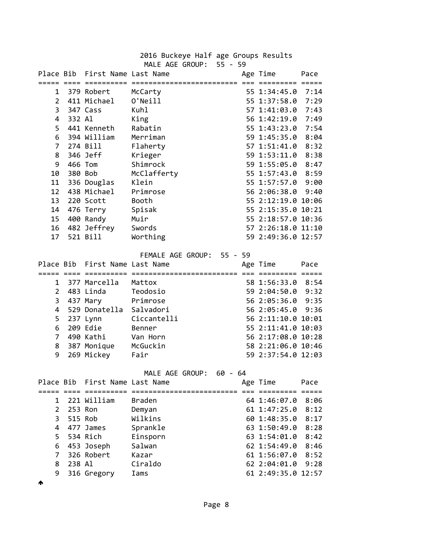| 2016 Buckeye Half age Groups Results<br>MALE AGE GROUP: 55 - 59 |        |                                |                           |  |                    |      |  |  |
|-----------------------------------------------------------------|--------|--------------------------------|---------------------------|--|--------------------|------|--|--|
|                                                                 |        | Place Bib First Name Last Name |                           |  | Age Time           | Pace |  |  |
|                                                                 |        | 1 379 Robert                   | McCarty                   |  | 55 1:34:45.0 7:14  |      |  |  |
|                                                                 |        | 2 411 Michael                  | O'Neill                   |  | 55 1:37:58.0 7:29  |      |  |  |
| $\mathbf{3}$                                                    |        | 347 Cass                       | Kuhl                      |  | 57 1:41:03.0       | 7:43 |  |  |
| 4                                                               | 332 Al |                                | King                      |  | 56 1:42:19.0 7:49  |      |  |  |
| 5                                                               |        | 441 Kenneth                    | Rabatin                   |  | 55 1:43:23.0 7:54  |      |  |  |
| 6                                                               |        | 394 William                    | Merriman                  |  | 59 1:45:35.0 8:04  |      |  |  |
| $\overline{7}$                                                  |        | 274 Bill                       | Flaherty                  |  | 57 1:51:41.0 8:32  |      |  |  |
| 8                                                               |        | 346 Jeff                       | Krieger                   |  | 59 1:53:11.0       | 8:38 |  |  |
| 9                                                               |        | 466 Tom                        | Shimrock                  |  | 59 1:55:05.0       | 8:47 |  |  |
| 10                                                              |        | 380 Bob                        | McClafferty               |  | 55 1:57:43.0       | 8:59 |  |  |
| 11                                                              |        | 336 Douglas                    | Klein                     |  | 55 1:57:57.0       | 9:00 |  |  |
| 12                                                              |        | 438 Michael                    | Primrose                  |  | 56 2:06:38.0       | 9:40 |  |  |
| 13                                                              |        | 220 Scott                      | Booth                     |  | 55 2:12:19.0 10:06 |      |  |  |
| 14                                                              |        | 476 Terry                      | Spisak                    |  | 55 2:15:35.0 10:21 |      |  |  |
| 15 <sub>1</sub>                                                 |        | 400 Randy                      | Muir                      |  | 55 2:18:57.0 10:36 |      |  |  |
| 16                                                              |        | 482 Jeffrey                    | Swords                    |  | 57 2:26:18.0 11:10 |      |  |  |
| 17 <sup>2</sup>                                                 |        | 521 Bill                       | Worthing                  |  | 59 2:49:36.0 12:57 |      |  |  |
|                                                                 |        |                                |                           |  |                    |      |  |  |
|                                                                 |        |                                | FEMALE AGE GROUP: 55 - 59 |  |                    |      |  |  |
|                                                                 |        | Place Bib First Name Last Name |                           |  | Age Time           | Pace |  |  |
|                                                                 |        |                                |                           |  |                    |      |  |  |
| 1                                                               |        | 377 Marcella                   | Mattox                    |  | 58 1:56:33.0 8:54  |      |  |  |
| $\overline{2}$                                                  |        | 483 Linda                      | Teodosio                  |  | 59 2:04:50.0 9:32  |      |  |  |
| 3                                                               |        | 437 Mary                       | Primrose                  |  | 56 2:05:36.0       | 9:35 |  |  |
| 4                                                               |        | 529 Donatella Salvadori        |                           |  | 56 2:05:45.0 9:36  |      |  |  |
| 5                                                               |        | 237 Lynn                       | Ciccantelli               |  | 56 2:11:10.0 10:01 |      |  |  |
| 6                                                               |        | 209 Edie                       | Benner                    |  | 55 2:11:41.0 10:03 |      |  |  |
| 7                                                               |        | 490 Kathi                      | Van Horn                  |  | 56 2:17:08.0 10:28 |      |  |  |
| 8                                                               |        | 387 Monique                    | McGuckin                  |  | 58 2:21:06.0 10:46 |      |  |  |
| 9                                                               |        | 269 Mickey                     | Fair                      |  | 59 2:37:54.0 12:03 |      |  |  |
| MALE AGE GROUP:<br>$60 - 64$                                    |        |                                |                           |  |                    |      |  |  |
| Place Bib                                                       |        | First Name Last Name           |                           |  | Age Time           | Pace |  |  |
|                                                                 |        |                                | ==================        |  | :====== =====      |      |  |  |
| 1                                                               |        | 221 William                    | <b>Braden</b>             |  | 64 1:46:07.0       | 8:06 |  |  |
| $\overline{2}$                                                  |        | 253 Ron                        | Demyan                    |  | 61 1:47:25.0       | 8:12 |  |  |
| 3                                                               |        | 515 Rob                        | Wilkins                   |  | 60 1:48:35.0       | 8:17 |  |  |
| 4                                                               |        | 477 James                      | Sprankle                  |  | 63 1:50:49.0       | 8:28 |  |  |
| 5                                                               |        | 534 Rich                       | Einsporn                  |  | 63 1:54:01.0       | 8:42 |  |  |
| 6                                                               |        | 453 Joseph                     | Salwan                    |  | 62 1:54:49.0       | 8:46 |  |  |
| 7                                                               |        | 326 Robert                     | Kazar                     |  | 61 1:56:07.0       | 8:52 |  |  |
| 8                                                               | 238 Al |                                | Ciraldo                   |  | 62 2:04:01.0       | 9:28 |  |  |
| 9                                                               |        | 316 Gregory                    | Iams                      |  | 61 2:49:35.0 12:57 |      |  |  |

 $\blacktriangle$